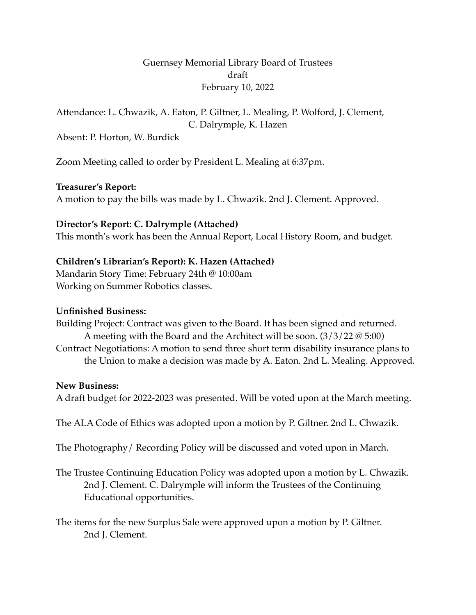## Guernsey Memorial Library Board of Trustees draft February 10, 2022

# Attendance: L. Chwazik, A. Eaton, P. Giltner, L. Mealing, P. Wolford, J. Clement, C. Dalrymple, K. Hazen

Absent: P. Horton, W. Burdick

Zoom Meeting called to order by President L. Mealing at 6:37pm.

#### **Treasurer's Report:**

A motion to pay the bills was made by L. Chwazik. 2nd J. Clement. Approved.

### **Director's Report: C. Dalrymple (Attached)**

This month's work has been the Annual Report, Local History Room, and budget.

# **Children's Librarian's Report): K. Hazen (Attached)**

Mandarin Story Time: February 24th @ 10:00am Working on Summer Robotics classes.

### **Unfinished Business:**

Building Project: Contract was given to the Board. It has been signed and returned. A meeting with the Board and the Architect will be soon. (3/3/22 @ 5:00) Contract Negotiations: A motion to send three short term disability insurance plans to the Union to make a decision was made by A. Eaton. 2nd L. Mealing. Approved.

#### **New Business:**

A draft budget for 2022-2023 was presented. Will be voted upon at the March meeting.

The ALA Code of Ethics was adopted upon a motion by P. Giltner. 2nd L. Chwazik.

The Photography/ Recording Policy will be discussed and voted upon in March.

The Trustee Continuing Education Policy was adopted upon a motion by L. Chwazik. 2nd J. Clement. C. Dalrymple will inform the Trustees of the Continuing Educational opportunities.

The items for the new Surplus Sale were approved upon a motion by P. Giltner. 2nd J. Clement.